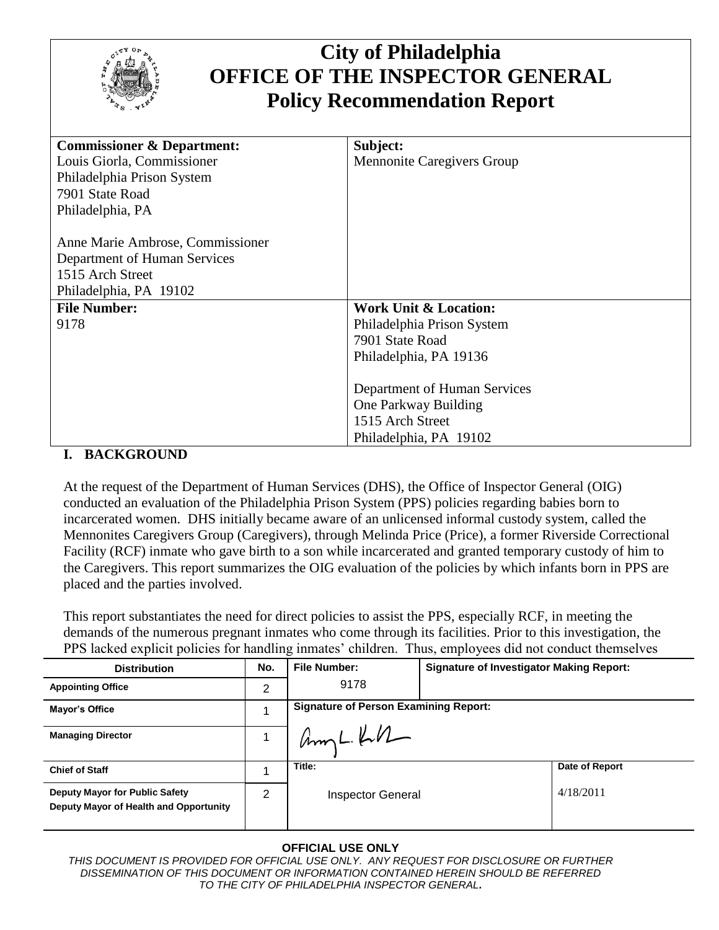

# **City of Philadelphia OFFICE OF THE INSPECTOR GENERAL Policy Recommendation Report**

| <b>Commissioner &amp; Department:</b>           | Subject:                          |
|-------------------------------------------------|-----------------------------------|
| Louis Giorla, Commissioner                      | <b>Mennonite Caregivers Group</b> |
| Philadelphia Prison System                      |                                   |
| 7901 State Road                                 |                                   |
| Philadelphia, PA                                |                                   |
|                                                 |                                   |
| Anne Marie Ambrose, Commissioner                |                                   |
| Department of Human Services                    |                                   |
| 1515 Arch Street                                |                                   |
| Philadelphia, PA 19102                          |                                   |
| <b>File Number:</b>                             | <b>Work Unit &amp; Location:</b>  |
| 9178                                            | Philadelphia Prison System        |
|                                                 | 7901 State Road                   |
|                                                 | Philadelphia, PA 19136            |
|                                                 |                                   |
|                                                 | Department of Human Services      |
|                                                 | One Parkway Building              |
|                                                 | 1515 Arch Street                  |
|                                                 | Philadelphia, PA 19102            |
| $P_1$ $Q_2$ $Q_3$ $Q_4$ $Q_5$ $Q_7$ $Q_8$ $Q_9$ |                                   |

#### **I. BACKGROUND**

At the request of the Department of Human Services (DHS), the Office of Inspector General (OIG) conducted an evaluation of the Philadelphia Prison System (PPS) policies regarding babies born to incarcerated women. DHS initially became aware of an unlicensed informal custody system, called the Mennonites Caregivers Group (Caregivers), through Melinda Price (Price), a former Riverside Correctional Facility (RCF) inmate who gave birth to a son while incarcerated and granted temporary custody of him to the Caregivers. This report summarizes the OIG evaluation of the policies by which infants born in PPS are placed and the parties involved.

This report substantiates the need for direct policies to assist the PPS, especially RCF, in meeting the demands of the numerous pregnant inmates who come through its facilities. Prior to this investigation, the PPS lacked explicit policies for handling inmates' children. Thus, employees did not conduct themselves

| <b>Distribution</b>                                                      | No. | <b>File Number:</b>                          | <b>Signature of Investigator Making Report:</b> |
|--------------------------------------------------------------------------|-----|----------------------------------------------|-------------------------------------------------|
| <b>Appointing Office</b>                                                 | 2   | 9178                                         |                                                 |
| Mayor's Office                                                           |     | <b>Signature of Person Examining Report:</b> |                                                 |
| <b>Managing Director</b>                                                 |     | $Ampl. kN-$                                  |                                                 |
| <b>Chief of Staff</b>                                                    |     | Title:                                       | Date of Report                                  |
| Deputy Mayor for Public Safety<br>Deputy Mayor of Health and Opportunity | 2   | <b>Inspector General</b>                     | 4/18/2011                                       |

#### **OFFICIAL USE ONLY**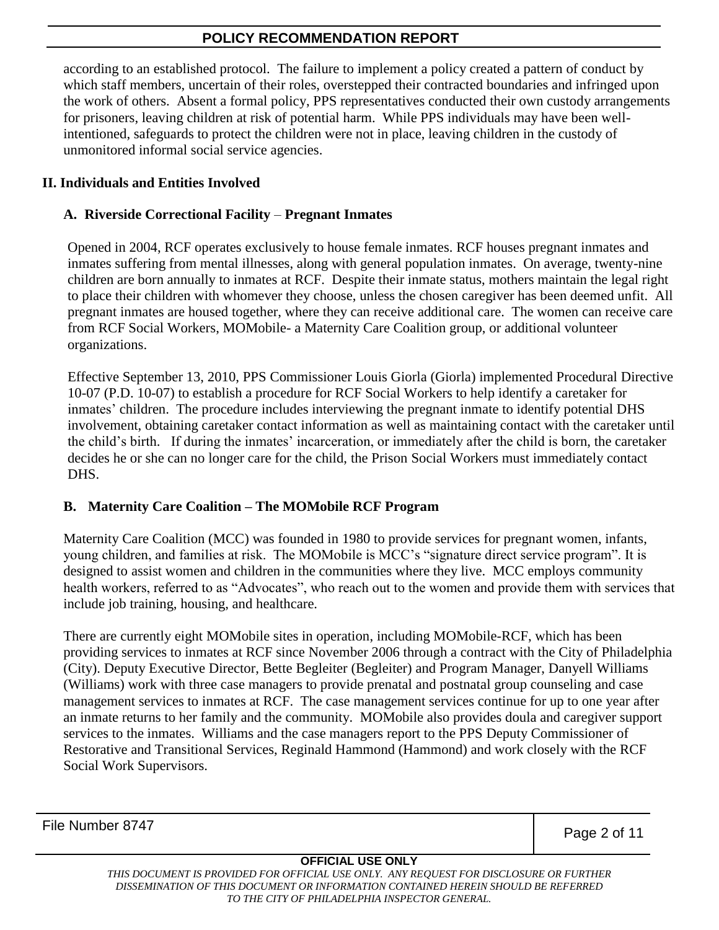according to an established protocol. The failure to implement a policy created a pattern of conduct by which staff members, uncertain of their roles, overstepped their contracted boundaries and infringed upon the work of others. Absent a formal policy, PPS representatives conducted their own custody arrangements for prisoners, leaving children at risk of potential harm. While PPS individuals may have been wellintentioned, safeguards to protect the children were not in place, leaving children in the custody of unmonitored informal social service agencies.

### **II. Individuals and Entities Involved**

### **A. Riverside Correctional Facility** – **Pregnant Inmates**

Opened in 2004, RCF operates exclusively to house female inmates. RCF houses pregnant inmates and inmates suffering from mental illnesses, along with general population inmates. On average, twenty-nine children are born annually to inmates at RCF. Despite their inmate status, mothers maintain the legal right to place their children with whomever they choose, unless the chosen caregiver has been deemed unfit. All pregnant inmates are housed together, where they can receive additional care. The women can receive care from RCF Social Workers, MOMobile- a Maternity Care Coalition group, or additional volunteer organizations.

Effective September 13, 2010, PPS Commissioner Louis Giorla (Giorla) implemented Procedural Directive 10-07 (P.D. 10-07) to establish a procedure for RCF Social Workers to help identify a caretaker for inmates' children. The procedure includes interviewing the pregnant inmate to identify potential DHS involvement, obtaining caretaker contact information as well as maintaining contact with the caretaker until the child's birth. If during the inmates' incarceration, or immediately after the child is born, the caretaker decides he or she can no longer care for the child, the Prison Social Workers must immediately contact DHS.

#### **B. Maternity Care Coalition – The MOMobile RCF Program**

Maternity Care Coalition (MCC) was founded in 1980 to provide services for pregnant women, infants, young children, and families at risk. The MOMobile is MCC's "signature direct service program". It is designed to assist women and children in the communities where they live. MCC employs community health workers, referred to as "Advocates", who reach out to the women and provide them with services that include job training, housing, and healthcare.

There are currently eight MOMobile sites in operation, including MOMobile-RCF, which has been providing services to inmates at RCF since November 2006 through a contract with the City of Philadelphia (City). Deputy Executive Director, Bette Begleiter (Begleiter) and Program Manager, Danyell Williams (Williams) work with three case managers to provide prenatal and postnatal group counseling and case management services to inmates at RCF. The case management services continue for up to one year after an inmate returns to her family and the community. MOMobile also provides doula and caregiver support services to the inmates. Williams and the case managers report to the PPS Deputy Commissioner of Restorative and Transitional Services, Reginald Hammond (Hammond) and work closely with the RCF Social Work Supervisors.

File Number 8747

Page 2 of 11

#### **OFFICIAL USE ONLY**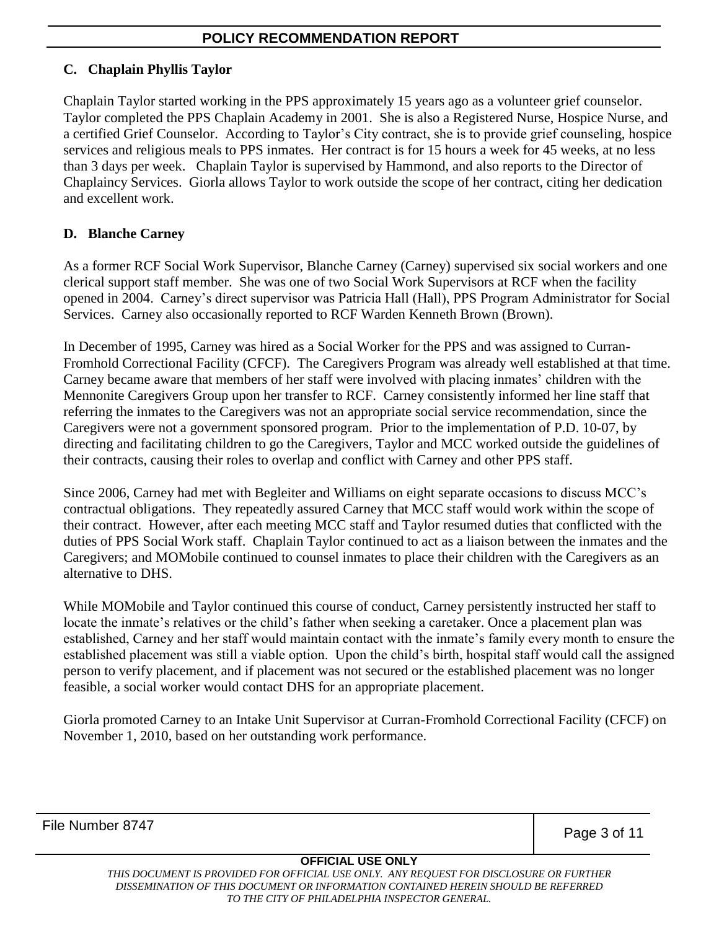#### **C. Chaplain Phyllis Taylor**

Chaplain Taylor started working in the PPS approximately 15 years ago as a volunteer grief counselor. Taylor completed the PPS Chaplain Academy in 2001. She is also a Registered Nurse, Hospice Nurse, and a certified Grief Counselor. According to Taylor's City contract, she is to provide grief counseling, hospice services and religious meals to PPS inmates. Her contract is for 15 hours a week for 45 weeks, at no less than 3 days per week. Chaplain Taylor is supervised by Hammond, and also reports to the Director of Chaplaincy Services. Giorla allows Taylor to work outside the scope of her contract, citing her dedication and excellent work.

## **D. Blanche Carney**

As a former RCF Social Work Supervisor, Blanche Carney (Carney) supervised six social workers and one clerical support staff member. She was one of two Social Work Supervisors at RCF when the facility opened in 2004. Carney's direct supervisor was Patricia Hall (Hall), PPS Program Administrator for Social Services. Carney also occasionally reported to RCF Warden Kenneth Brown (Brown).

In December of 1995, Carney was hired as a Social Worker for the PPS and was assigned to Curran-Fromhold Correctional Facility (CFCF). The Caregivers Program was already well established at that time. Carney became aware that members of her staff were involved with placing inmates' children with the Mennonite Caregivers Group upon her transfer to RCF. Carney consistently informed her line staff that referring the inmates to the Caregivers was not an appropriate social service recommendation, since the Caregivers were not a government sponsored program. Prior to the implementation of P.D. 10-07, by directing and facilitating children to go the Caregivers, Taylor and MCC worked outside the guidelines of their contracts, causing their roles to overlap and conflict with Carney and other PPS staff.

Since 2006, Carney had met with Begleiter and Williams on eight separate occasions to discuss MCC's contractual obligations. They repeatedly assured Carney that MCC staff would work within the scope of their contract. However, after each meeting MCC staff and Taylor resumed duties that conflicted with the duties of PPS Social Work staff. Chaplain Taylor continued to act as a liaison between the inmates and the Caregivers; and MOMobile continued to counsel inmates to place their children with the Caregivers as an alternative to DHS.

While MOMobile and Taylor continued this course of conduct, Carney persistently instructed her staff to locate the inmate's relatives or the child's father when seeking a caretaker. Once a placement plan was established, Carney and her staff would maintain contact with the inmate's family every month to ensure the established placement was still a viable option. Upon the child's birth, hospital staff would call the assigned person to verify placement, and if placement was not secured or the established placement was no longer feasible, a social worker would contact DHS for an appropriate placement.

Giorla promoted Carney to an Intake Unit Supervisor at Curran-Fromhold Correctional Facility (CFCF) on November 1, 2010, based on her outstanding work performance.

File Number 8747

Page 3 of 11

#### **OFFICIAL USE ONLY**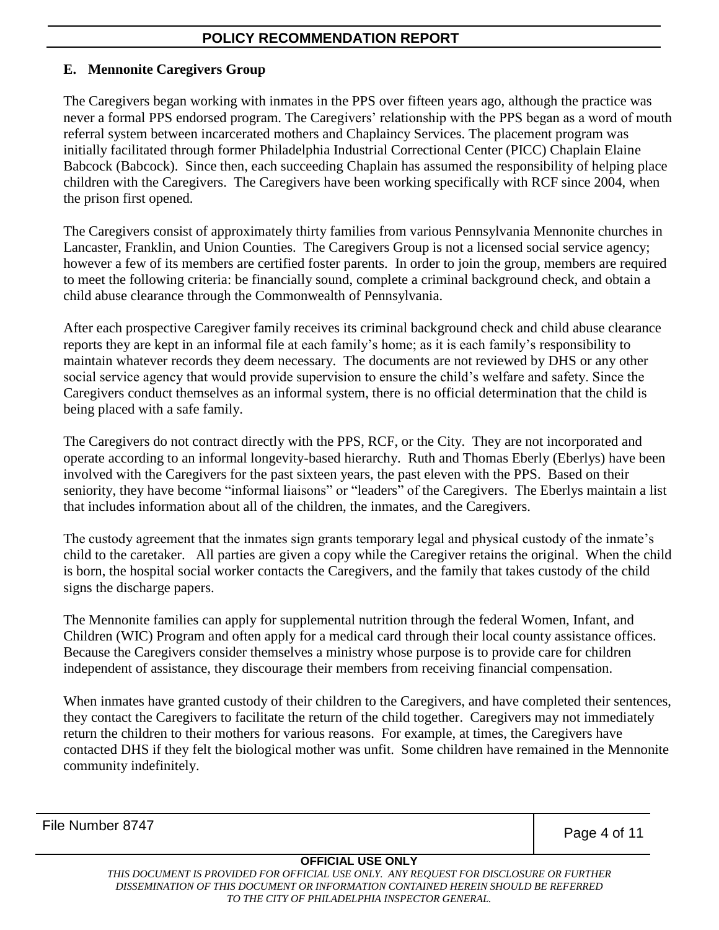#### **E. Mennonite Caregivers Group**

The Caregivers began working with inmates in the PPS over fifteen years ago, although the practice was never a formal PPS endorsed program. The Caregivers' relationship with the PPS began as a word of mouth referral system between incarcerated mothers and Chaplaincy Services. The placement program was initially facilitated through former Philadelphia Industrial Correctional Center (PICC) Chaplain Elaine Babcock (Babcock). Since then, each succeeding Chaplain has assumed the responsibility of helping place children with the Caregivers. The Caregivers have been working specifically with RCF since 2004, when the prison first opened.

The Caregivers consist of approximately thirty families from various Pennsylvania Mennonite churches in Lancaster, Franklin, and Union Counties. The Caregivers Group is not a licensed social service agency; however a few of its members are certified foster parents. In order to join the group, members are required to meet the following criteria: be financially sound, complete a criminal background check, and obtain a child abuse clearance through the Commonwealth of Pennsylvania.

After each prospective Caregiver family receives its criminal background check and child abuse clearance reports they are kept in an informal file at each family's home; as it is each family's responsibility to maintain whatever records they deem necessary. The documents are not reviewed by DHS or any other social service agency that would provide supervision to ensure the child's welfare and safety. Since the Caregivers conduct themselves as an informal system, there is no official determination that the child is being placed with a safe family.

The Caregivers do not contract directly with the PPS, RCF, or the City. They are not incorporated and operate according to an informal longevity-based hierarchy. Ruth and Thomas Eberly (Eberlys) have been involved with the Caregivers for the past sixteen years, the past eleven with the PPS. Based on their seniority, they have become "informal liaisons" or "leaders" of the Caregivers. The Eberlys maintain a list that includes information about all of the children, the inmates, and the Caregivers.

The custody agreement that the inmates sign grants temporary legal and physical custody of the inmate's child to the caretaker. All parties are given a copy while the Caregiver retains the original. When the child is born, the hospital social worker contacts the Caregivers, and the family that takes custody of the child signs the discharge papers.

The Mennonite families can apply for supplemental nutrition through the federal Women, Infant, and Children (WIC) Program and often apply for a medical card through their local county assistance offices. Because the Caregivers consider themselves a ministry whose purpose is to provide care for children independent of assistance, they discourage their members from receiving financial compensation.

When inmates have granted custody of their children to the Caregivers, and have completed their sentences, they contact the Caregivers to facilitate the return of the child together. Caregivers may not immediately return the children to their mothers for various reasons. For example, at times, the Caregivers have contacted DHS if they felt the biological mother was unfit. Some children have remained in the Mennonite community indefinitely.

File Number 8747

Page 4 of 11

#### **OFFICIAL USE ONLY**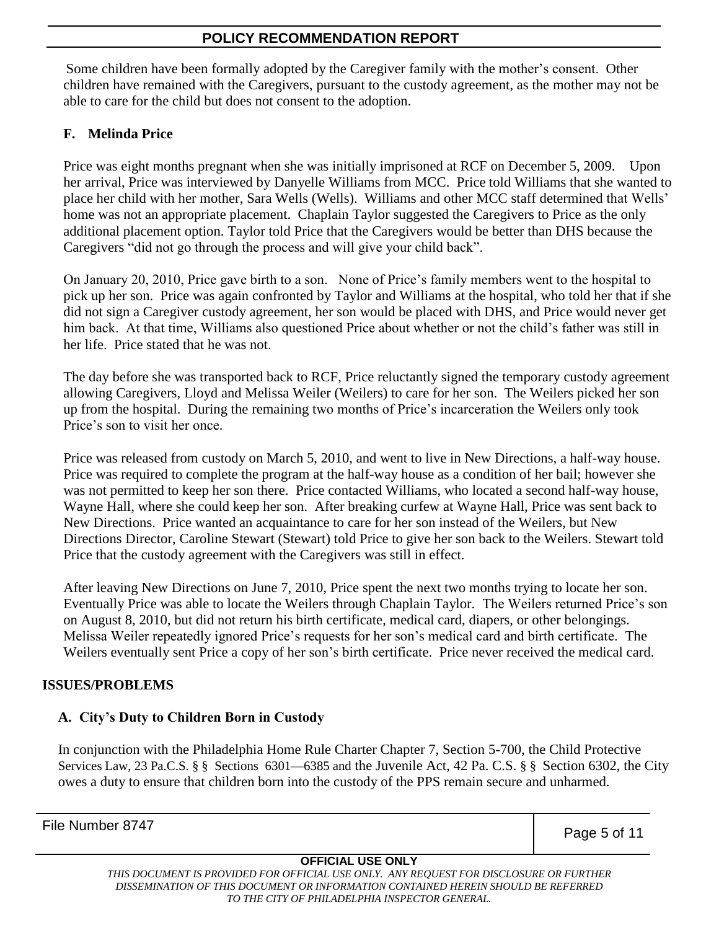Some children have been formally adopted by the Caregiver family with the mother's consent. Other children have remained with the Caregivers, pursuant to the custody agreement, as the mother may not be able to care for the child but does not consent to the adoption.

## **F. Melinda Price**

Price was eight months pregnant when she was initially imprisoned at RCF on December 5, 2009. Upon her arrival, Price was interviewed by Danyelle Williams from MCC. Price told Williams that she wanted to place her child with her mother, Sara Wells (Wells). Williams and other MCC staff determined that Wells' home was not an appropriate placement. Chaplain Taylor suggested the Caregivers to Price as the only additional placement option. Taylor told Price that the Caregivers would be better than DHS because the Caregivers "did not go through the process and will give your child back".

On January 20, 2010, Price gave birth to a son. None of Price's family members went to the hospital to pick up her son. Price was again confronted by Taylor and Williams at the hospital, who told her that if she did not sign a Caregiver custody agreement, her son would be placed with DHS, and Price would never get him back. At that time, Williams also questioned Price about whether or not the child's father was still in her life. Price stated that he was not.

The day before she was transported back to RCF, Price reluctantly signed the temporary custody agreement allowing Caregivers, Lloyd and Melissa Weiler (Weilers) to care for her son. The Weilers picked her son up from the hospital. During the remaining two months of Price's incarceration the Weilers only took Price's son to visit her once.

Price was released from custody on March 5, 2010, and went to live in New Directions, a half-way house. Price was required to complete the program at the half-way house as a condition of her bail; however she was not permitted to keep her son there. Price contacted Williams, who located a second half-way house, Wayne Hall, where she could keep her son. After breaking curfew at Wayne Hall, Price was sent back to New Directions. Price wanted an acquaintance to care for her son instead of the Weilers, but New Directions Director, Caroline Stewart (Stewart) told Price to give her son back to the Weilers. Stewart told Price that the custody agreement with the Caregivers was still in effect.

After leaving New Directions on June 7, 2010, Price spent the next two months trying to locate her son. Eventually Price was able to locate the Weilers through Chaplain Taylor. The Weilers returned Price's son on August 8, 2010, but did not return his birth certificate, medical card, diapers, or other belongings. Melissa Weiler repeatedly ignored Price's requests for her son's medical card and birth certificate. The Weilers eventually sent Price a copy of her son's birth certificate. Price never received the medical card.

#### **ISSUES/PROBLEMS**

#### **A. City's Duty to Children Born in Custody**

In conjunction with the Philadelphia Home Rule Charter Chapter 7, Section 5-700, the Child Protective Services Law, 23 Pa.C.S. § § Sections 6301—6385 and the Juvenile Act, 42 Pa. C.S. § § Section 6302, the City owes a duty to ensure that children born into the custody of the PPS remain secure and unharmed.

File Number 8747

Page 5 of 11

#### **OFFICIAL USE ONLY**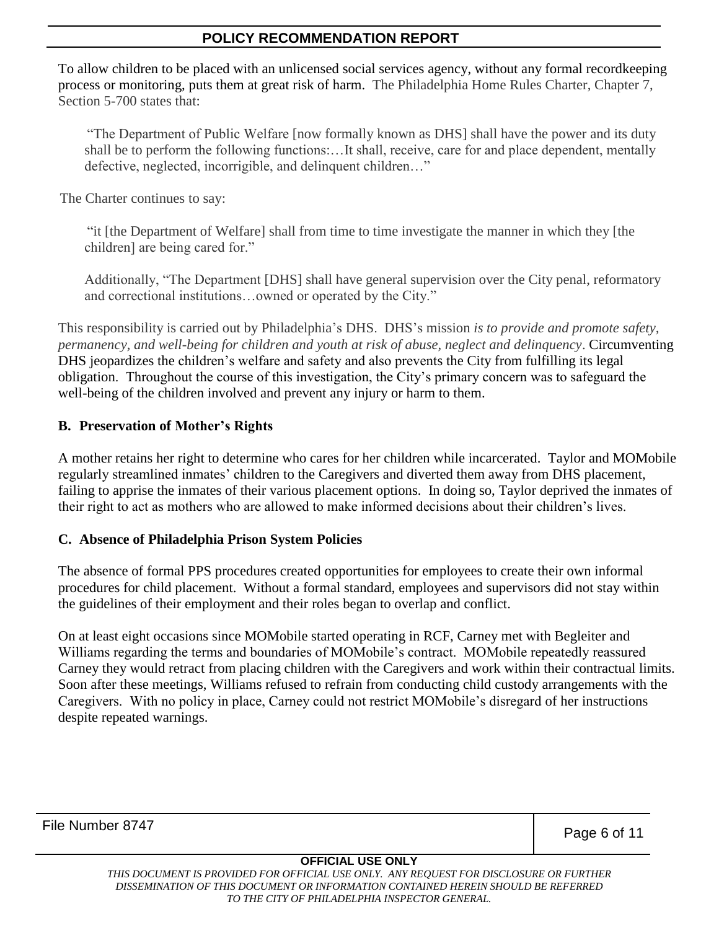To allow children to be placed with an unlicensed social services agency, without any formal recordkeeping process or monitoring, puts them at great risk of harm. The Philadelphia Home Rules Charter, Chapter 7, Section 5-700 states that:

"The Department of Public Welfare [now formally known as DHS] shall have the power and its duty shall be to perform the following functions:…It shall, receive, care for and place dependent, mentally defective, neglected, incorrigible, and delinquent children..."

The Charter continues to say:

―it [the Department of Welfare] shall from time to time investigate the manner in which they [the children] are being cared for."

Additionally, "The Department [DHS] shall have general supervision over the City penal, reformatory and correctional institutions...owned or operated by the City."

This responsibility is carried out by Philadelphia's DHS. DHS's mission *is to provide and promote safety, permanency, and well-being for children and youth at risk of abuse, neglect and delinquency*. Circumventing DHS jeopardizes the children's welfare and safety and also prevents the City from fulfilling its legal obligation. Throughout the course of this investigation, the City's primary concern was to safeguard the well-being of the children involved and prevent any injury or harm to them.

## **B. Preservation of Mother's Rights**

A mother retains her right to determine who cares for her children while incarcerated. Taylor and MOMobile regularly streamlined inmates' children to the Caregivers and diverted them away from DHS placement, failing to apprise the inmates of their various placement options. In doing so, Taylor deprived the inmates of their right to act as mothers who are allowed to make informed decisions about their children's lives.

#### **C. Absence of Philadelphia Prison System Policies**

The absence of formal PPS procedures created opportunities for employees to create their own informal procedures for child placement. Without a formal standard, employees and supervisors did not stay within the guidelines of their employment and their roles began to overlap and conflict.

On at least eight occasions since MOMobile started operating in RCF, Carney met with Begleiter and Williams regarding the terms and boundaries of MOMobile's contract. MOMobile repeatedly reassured Carney they would retract from placing children with the Caregivers and work within their contractual limits. Soon after these meetings, Williams refused to refrain from conducting child custody arrangements with the Caregivers. With no policy in place, Carney could not restrict MOMobile's disregard of her instructions despite repeated warnings.

File Number 8747

Page 6 of 11

#### **OFFICIAL USE ONLY**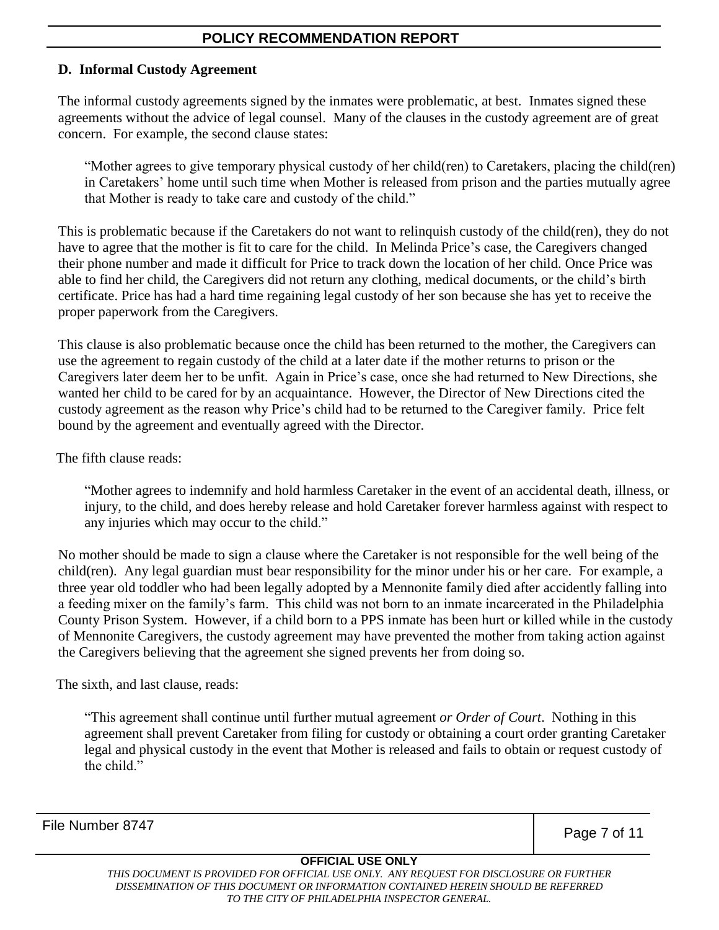#### **D. Informal Custody Agreement**

The informal custody agreements signed by the inmates were problematic, at best. Inmates signed these agreements without the advice of legal counsel. Many of the clauses in the custody agreement are of great concern. For example, the second clause states:

―Mother agrees to give temporary physical custody of her child(ren) to Caretakers, placing the child(ren) in Caretakers' home until such time when Mother is released from prison and the parties mutually agree that Mother is ready to take care and custody of the child."

This is problematic because if the Caretakers do not want to relinquish custody of the child(ren), they do not have to agree that the mother is fit to care for the child. In Melinda Price's case, the Caregivers changed their phone number and made it difficult for Price to track down the location of her child. Once Price was able to find her child, the Caregivers did not return any clothing, medical documents, or the child's birth certificate. Price has had a hard time regaining legal custody of her son because she has yet to receive the proper paperwork from the Caregivers.

This clause is also problematic because once the child has been returned to the mother, the Caregivers can use the agreement to regain custody of the child at a later date if the mother returns to prison or the Caregivers later deem her to be unfit. Again in Price's case, once she had returned to New Directions, she wanted her child to be cared for by an acquaintance. However, the Director of New Directions cited the custody agreement as the reason why Price's child had to be returned to the Caregiver family. Price felt bound by the agreement and eventually agreed with the Director.

The fifth clause reads:

―Mother agrees to indemnify and hold harmless Caretaker in the event of an accidental death, illness, or injury, to the child, and does hereby release and hold Caretaker forever harmless against with respect to any injuries which may occur to the child."

No mother should be made to sign a clause where the Caretaker is not responsible for the well being of the child(ren). Any legal guardian must bear responsibility for the minor under his or her care. For example, a three year old toddler who had been legally adopted by a Mennonite family died after accidently falling into a feeding mixer on the family's farm. This child was not born to an inmate incarcerated in the Philadelphia County Prison System. However, if a child born to a PPS inmate has been hurt or killed while in the custody of Mennonite Caregivers, the custody agreement may have prevented the mother from taking action against the Caregivers believing that the agreement she signed prevents her from doing so.

The sixth, and last clause, reads:

―This agreement shall continue until further mutual agreement *or Order of Court*. Nothing in this agreement shall prevent Caretaker from filing for custody or obtaining a court order granting Caretaker legal and physical custody in the event that Mother is released and fails to obtain or request custody of the child."

File Number 8747

Page 7 of 11

#### **OFFICIAL USE ONLY**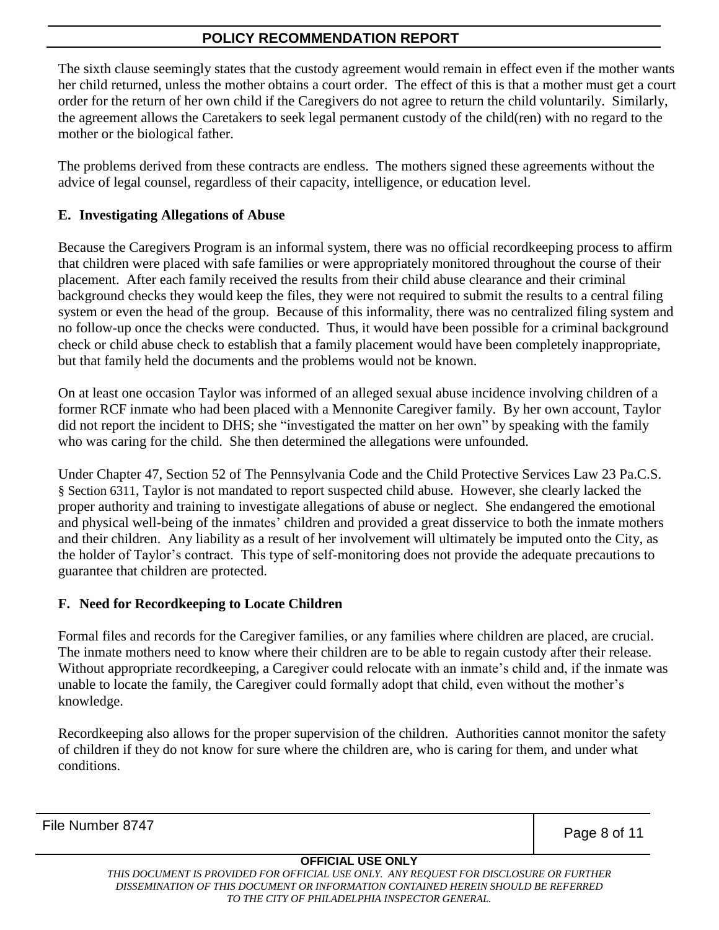The sixth clause seemingly states that the custody agreement would remain in effect even if the mother wants her child returned, unless the mother obtains a court order. The effect of this is that a mother must get a court order for the return of her own child if the Caregivers do not agree to return the child voluntarily. Similarly, the agreement allows the Caretakers to seek legal permanent custody of the child(ren) with no regard to the mother or the biological father.

The problems derived from these contracts are endless. The mothers signed these agreements without the advice of legal counsel, regardless of their capacity, intelligence, or education level.

## **E. Investigating Allegations of Abuse**

Because the Caregivers Program is an informal system, there was no official recordkeeping process to affirm that children were placed with safe families or were appropriately monitored throughout the course of their placement. After each family received the results from their child abuse clearance and their criminal background checks they would keep the files, they were not required to submit the results to a central filing system or even the head of the group. Because of this informality, there was no centralized filing system and no follow-up once the checks were conducted. Thus, it would have been possible for a criminal background check or child abuse check to establish that a family placement would have been completely inappropriate, but that family held the documents and the problems would not be known.

On at least one occasion Taylor was informed of an alleged sexual abuse incidence involving children of a former RCF inmate who had been placed with a Mennonite Caregiver family. By her own account, Taylor did not report the incident to DHS; she "investigated the matter on her own" by speaking with the family who was caring for the child. She then determined the allegations were unfounded.

Under Chapter 47, Section 52 of The Pennsylvania Code and the Child Protective Services Law 23 Pa.C.S. § Section 6311, Taylor is not mandated to report suspected child abuse. However, she clearly lacked the proper authority and training to investigate allegations of abuse or neglect. She endangered the emotional and physical well-being of the inmates' children and provided a great disservice to both the inmate mothers and their children. Any liability as a result of her involvement will ultimately be imputed onto the City, as the holder of Taylor's contract. This type of self-monitoring does not provide the adequate precautions to guarantee that children are protected.

#### **F. Need for Recordkeeping to Locate Children**

Formal files and records for the Caregiver families, or any families where children are placed, are crucial. The inmate mothers need to know where their children are to be able to regain custody after their release. Without appropriate recordkeeping, a Caregiver could relocate with an inmate's child and, if the inmate was unable to locate the family, the Caregiver could formally adopt that child, even without the mother's knowledge.

Recordkeeping also allows for the proper supervision of the children. Authorities cannot monitor the safety of children if they do not know for sure where the children are, who is caring for them, and under what conditions.

File Number 8747

Page 8 of 11

#### **OFFICIAL USE ONLY**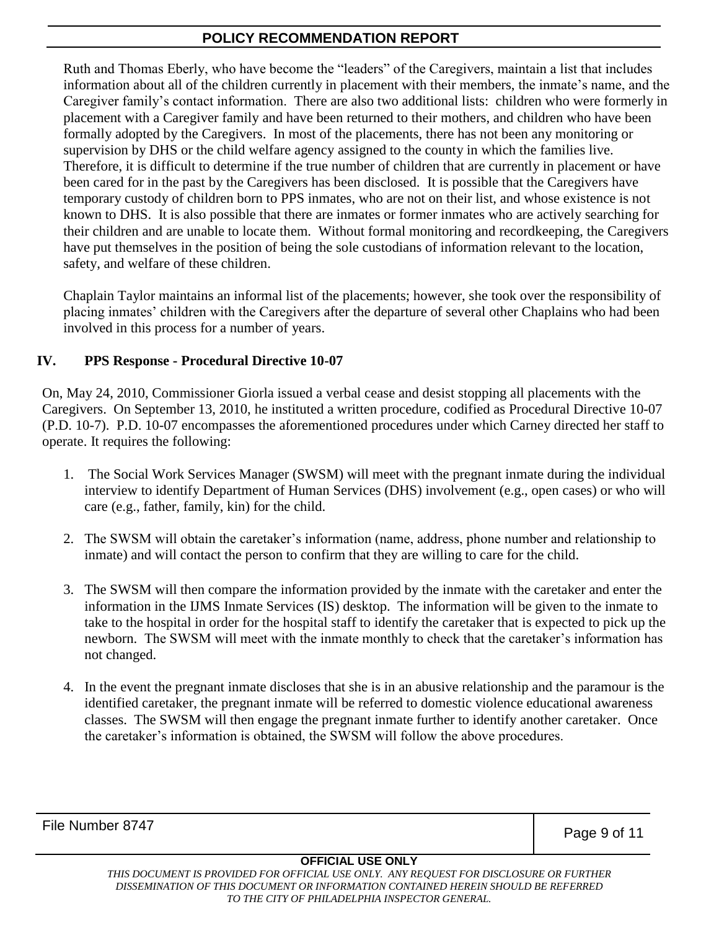Ruth and Thomas Eberly, who have become the "leaders" of the Caregivers, maintain a list that includes information about all of the children currently in placement with their members, the inmate's name, and the Caregiver family's contact information. There are also two additional lists: children who were formerly in placement with a Caregiver family and have been returned to their mothers, and children who have been formally adopted by the Caregivers. In most of the placements, there has not been any monitoring or supervision by DHS or the child welfare agency assigned to the county in which the families live. Therefore, it is difficult to determine if the true number of children that are currently in placement or have been cared for in the past by the Caregivers has been disclosed. It is possible that the Caregivers have temporary custody of children born to PPS inmates, who are not on their list, and whose existence is not known to DHS. It is also possible that there are inmates or former inmates who are actively searching for their children and are unable to locate them. Without formal monitoring and recordkeeping, the Caregivers have put themselves in the position of being the sole custodians of information relevant to the location, safety, and welfare of these children.

Chaplain Taylor maintains an informal list of the placements; however, she took over the responsibility of placing inmates' children with the Caregivers after the departure of several other Chaplains who had been involved in this process for a number of years.

## **IV. PPS Response - Procedural Directive 10-07**

On, May 24, 2010, Commissioner Giorla issued a verbal cease and desist stopping all placements with the Caregivers. On September 13, 2010, he instituted a written procedure, codified as Procedural Directive 10-07 (P.D. 10-7). P.D. 10-07 encompasses the aforementioned procedures under which Carney directed her staff to operate. It requires the following:

- 1. The Social Work Services Manager (SWSM) will meet with the pregnant inmate during the individual interview to identify Department of Human Services (DHS) involvement (e.g., open cases) or who will care (e.g., father, family, kin) for the child.
- 2. The SWSM will obtain the caretaker's information (name, address, phone number and relationship to inmate) and will contact the person to confirm that they are willing to care for the child.
- 3. The SWSM will then compare the information provided by the inmate with the caretaker and enter the information in the IJMS Inmate Services (IS) desktop. The information will be given to the inmate to take to the hospital in order for the hospital staff to identify the caretaker that is expected to pick up the newborn. The SWSM will meet with the inmate monthly to check that the caretaker's information has not changed.
- 4. In the event the pregnant inmate discloses that she is in an abusive relationship and the paramour is the identified caretaker, the pregnant inmate will be referred to domestic violence educational awareness classes. The SWSM will then engage the pregnant inmate further to identify another caretaker. Once the caretaker's information is obtained, the SWSM will follow the above procedures.

File Number 8747

Page 9 of 11

#### **OFFICIAL USE ONLY**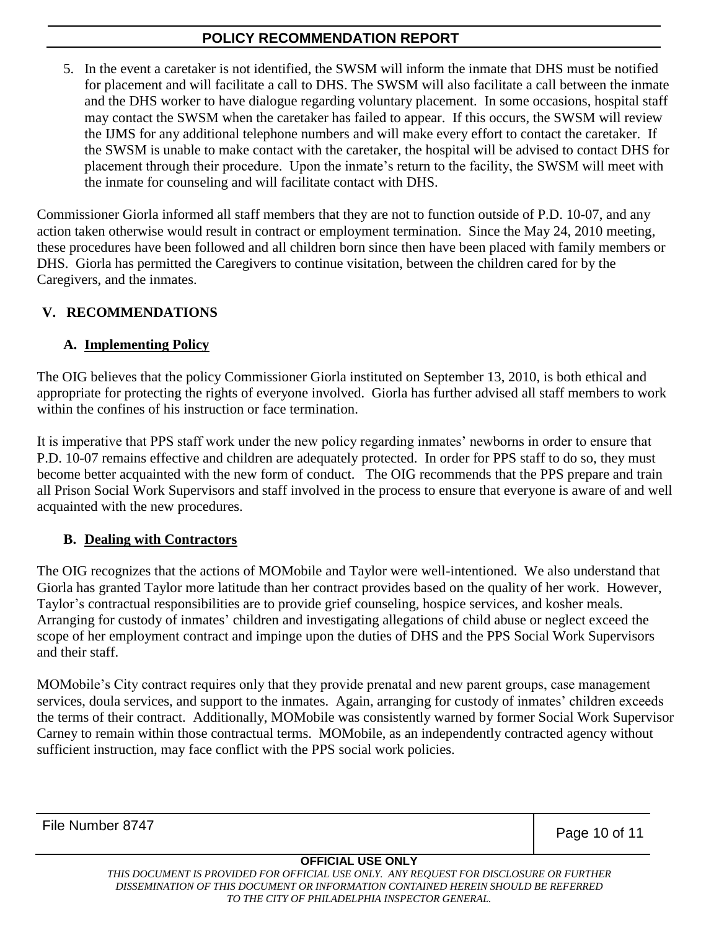5. In the event a caretaker is not identified, the SWSM will inform the inmate that DHS must be notified for placement and will facilitate a call to DHS. The SWSM will also facilitate a call between the inmate and the DHS worker to have dialogue regarding voluntary placement. In some occasions, hospital staff may contact the SWSM when the caretaker has failed to appear. If this occurs, the SWSM will review the IJMS for any additional telephone numbers and will make every effort to contact the caretaker. If the SWSM is unable to make contact with the caretaker, the hospital will be advised to contact DHS for placement through their procedure. Upon the inmate's return to the facility, the SWSM will meet with the inmate for counseling and will facilitate contact with DHS.

Commissioner Giorla informed all staff members that they are not to function outside of P.D. 10-07, and any action taken otherwise would result in contract or employment termination. Since the May 24, 2010 meeting, these procedures have been followed and all children born since then have been placed with family members or DHS. Giorla has permitted the Caregivers to continue visitation, between the children cared for by the Caregivers, and the inmates.

## **V. RECOMMENDATIONS**

#### **A. Implementing Policy**

The OIG believes that the policy Commissioner Giorla instituted on September 13, 2010, is both ethical and appropriate for protecting the rights of everyone involved. Giorla has further advised all staff members to work within the confines of his instruction or face termination.

It is imperative that PPS staff work under the new policy regarding inmates' newborns in order to ensure that P.D. 10-07 remains effective and children are adequately protected. In order for PPS staff to do so, they must become better acquainted with the new form of conduct. The OIG recommends that the PPS prepare and train all Prison Social Work Supervisors and staff involved in the process to ensure that everyone is aware of and well acquainted with the new procedures.

## **B. Dealing with Contractors**

The OIG recognizes that the actions of MOMobile and Taylor were well-intentioned. We also understand that Giorla has granted Taylor more latitude than her contract provides based on the quality of her work. However, Taylor's contractual responsibilities are to provide grief counseling, hospice services, and kosher meals. Arranging for custody of inmates' children and investigating allegations of child abuse or neglect exceed the scope of her employment contract and impinge upon the duties of DHS and the PPS Social Work Supervisors and their staff.

MOMobile's City contract requires only that they provide prenatal and new parent groups, case management services, doula services, and support to the inmates. Again, arranging for custody of inmates' children exceeds the terms of their contract. Additionally, MOMobile was consistently warned by former Social Work Supervisor Carney to remain within those contractual terms. MOMobile, as an independently contracted agency without sufficient instruction, may face conflict with the PPS social work policies.

File Number 8747

Page 10 of 11

#### **OFFICIAL USE ONLY**